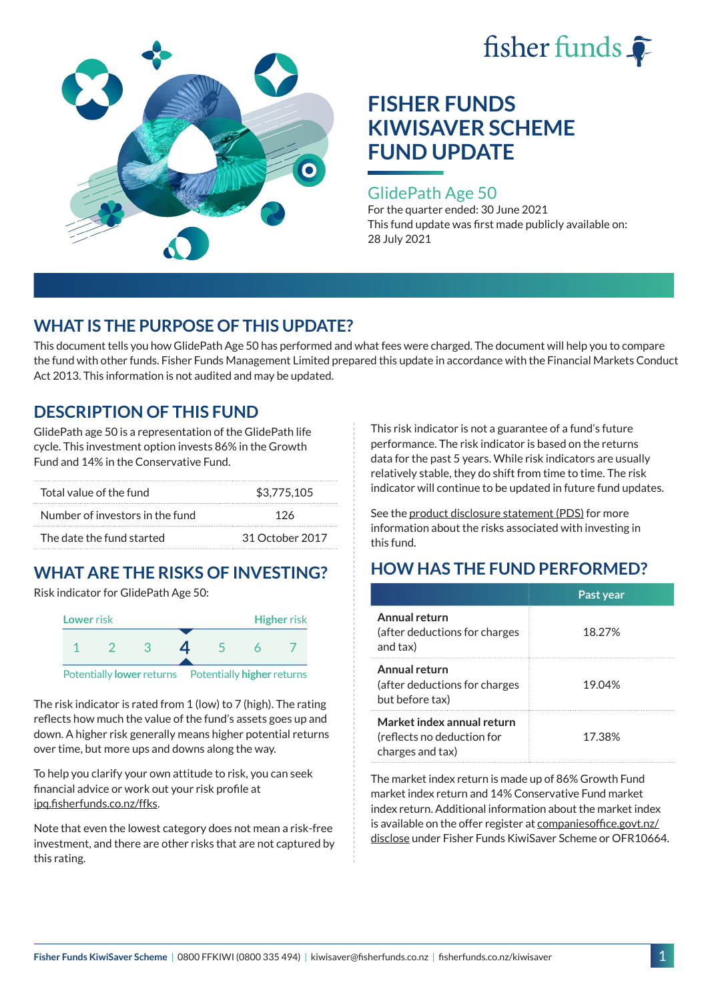



## GlidePath Age 50

For the quarter ended: 30 June 2021 This fund update was first made publicly available on: 28 July 2021

# **WHAT IS THE PURPOSE OF THIS UPDATE?**

This document tells you how GlidePath Age 50 has performed and what fees were charged. The document will help you to compare the fund with other funds. Fisher Funds Management Limited prepared this update in accordance with the Financial Markets Conduct Act 2013. This information is not audited and may be updated.

## **DESCRIPTION OF THIS FUND**

GlidePath age 50 is a representation of the GlidePath life cycle. This investment option invests 86% in the Growth Fund and 14% in the Conservative Fund.

| Total value of the fund         | \$3,775,105     |  |
|---------------------------------|-----------------|--|
| Number of investors in the fund | 126             |  |
| The date the fund started       | 31 October 2017 |  |

# **WHAT ARE THE RISKS OF INVESTING?**

Risk indicator for GlidePath Age 50:



The risk indicator is rated from 1 (low) to 7 (high). The rating reflects how much the value of the fund's assets goes up and down. A higher risk generally means higher potential returns over time, but more ups and downs along the way.

To help you clarify your own attitude to risk, you can seek financial advice or work out your risk profile at [ipq.fisherfunds.co.nz/ffks](https://ipq.fisherfunds.co.nz/ffks).

Note that even the lowest category does not mean a risk-free investment, and there are other risks that are not captured by this rating.

This risk indicator is not a guarantee of a fund's future performance. The risk indicator is based on the returns data for the past 5 years. While risk indicators are usually relatively stable, they do shift from time to time. The risk indicator will continue to be updated in future fund updates.

See the [product disclosure statement \(PDS\)](https://fisherfunds.co.nz/assets/PDS/Fisher-Funds-KiwiSaver-Scheme-PDS.pdf) for more information about the risks associated with investing in this fund.

# **HOW HAS THE FUND PERFORMED?**

|                                                                              | Past year |
|------------------------------------------------------------------------------|-----------|
| Annual return<br>(after deductions for charges<br>and tax)                   | 18.27%    |
| Annual return<br>(after deductions for charges<br>but before tax)            | 19.04%    |
| Market index annual return<br>(reflects no deduction for<br>charges and tax) | 17.38%    |

The market index return is made up of 86% Growth Fund market index return and 14% Conservative Fund market index return. Additional information about the market index is available on the offer register at [companiesoffice.govt.nz/](http://companiesoffice.govt.nz/disclose) [disclose](http://companiesoffice.govt.nz/disclose) under Fisher Funds KiwiSaver Scheme or OFR10664.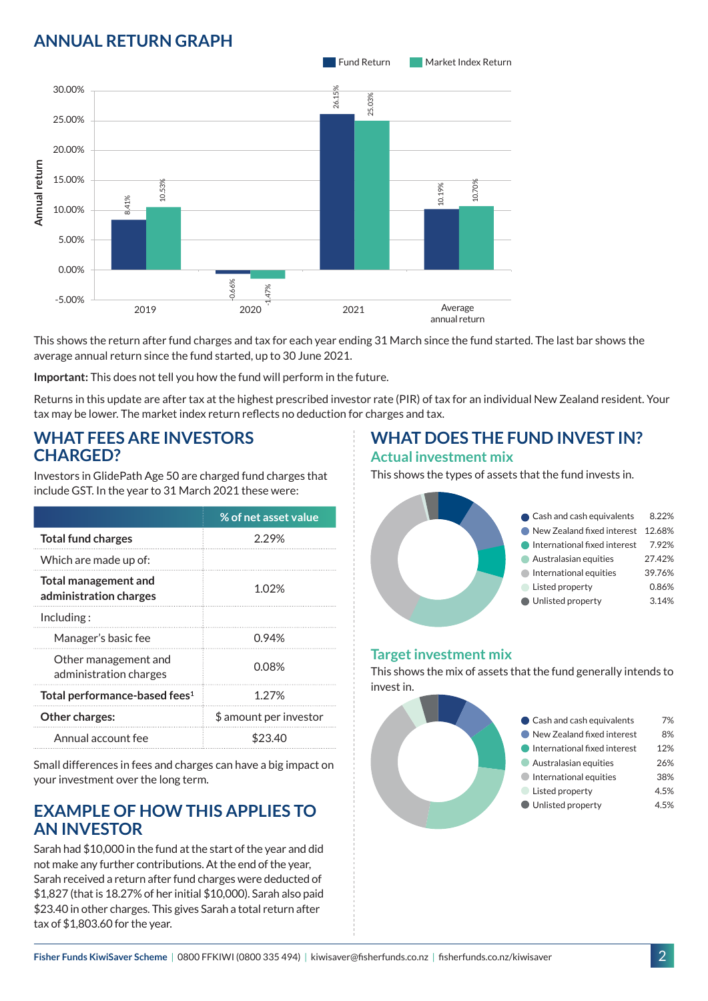# **ANNUAL RETURN GRAPH**



This shows the return after fund charges and tax for each year ending 31 March since the fund started. The last bar shows the average annual return since the fund started, up to 30 June 2021.

**Important:** This does not tell you how the fund will perform in the future.

Returns in this update are after tax at the highest prescribed investor rate (PIR) of tax for an individual New Zealand resident. Your tax may be lower. The market index return reflects no deduction for charges and tax.

### **WHAT FEES ARE INVESTORS CHARGED?**

Investors in GlidePath Age 50 are charged fund charges that include GST. In the year to 31 March 2021 these were:

|                                                | % of net asset value   |
|------------------------------------------------|------------------------|
| <b>Total fund charges</b>                      | 2.29%                  |
| Which are made up of:                          |                        |
| Total management and<br>administration charges | 1.02%                  |
| Including:                                     |                        |
| Manager's basic fee                            | 0.94%                  |
| Other management and<br>administration charges | 0.08%                  |
| Total performance-based fees <sup>1</sup>      | 1.27%                  |
| <b>Other charges:</b>                          | \$ amount per investor |
| Annual account fee                             | \$23                   |

Small differences in fees and charges can have a big impact on your investment over the long term.

### **EXAMPLE OF HOW THIS APPLIES TO AN INVESTOR**

Sarah had \$10,000 in the fund at the start of the year and did not make any further contributions. At the end of the year, Sarah received a return after fund charges were deducted of \$1,827 (that is 18.27% of her initial \$10,000). Sarah also paid \$23.40 in other charges. This gives Sarah a total return after tax of \$1,803.60 for the year.

# **WHAT DOES THE FUND INVEST IN?**

#### **Actual investment mix**

This shows the types of assets that the fund invests in.



### **Target investment mix**

This shows the mix of assets that the fund generally intends to invest in.